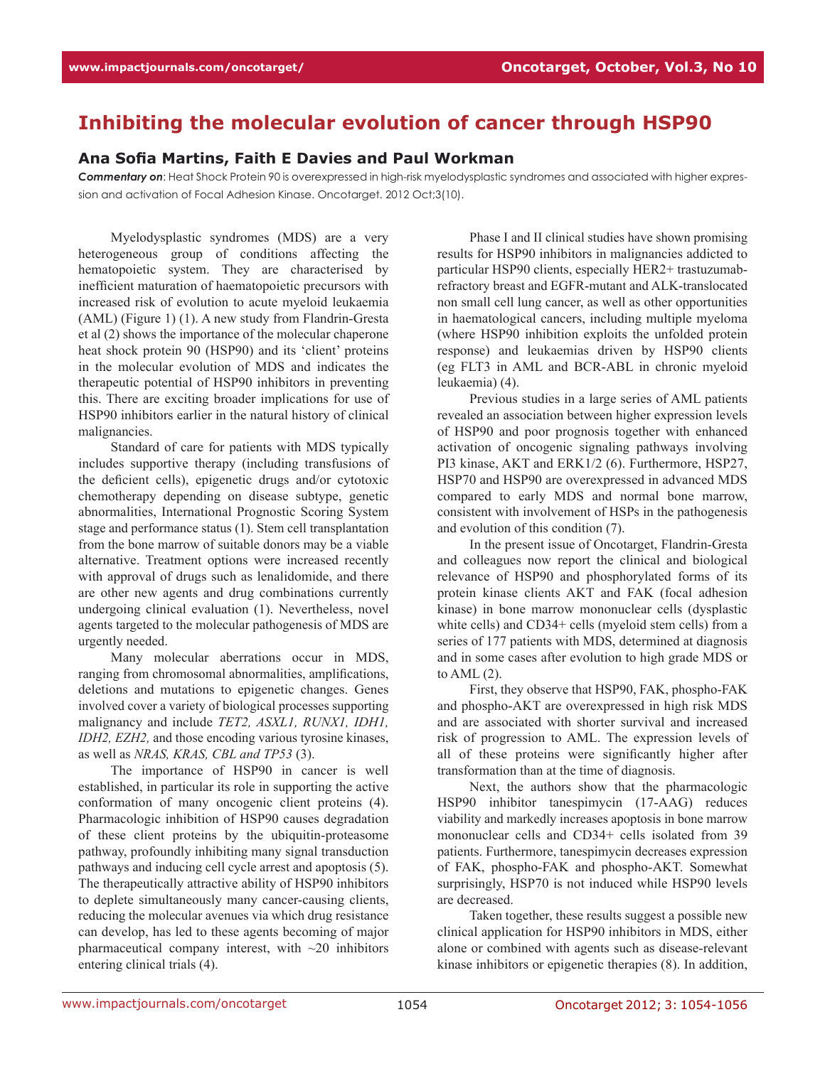## **Inhibiting the molecular evolution of cancer through HSP90**

## **Ana Sofia Martins, Faith E Davies and Paul Workman**

*Commentary on*: Heat Shock Protein 90 is overexpressed in high-risk myelodysplastic syndromes and associated with higher expression and activation of Focal Adhesion Kinase. Oncotarget. 2012 Oct;3(10).

Myelodysplastic syndromes (MDS) are a very heterogeneous group of conditions affecting the hematopoietic system. They are characterised by inefficient maturation of haematopoietic precursors with increased risk of evolution to acute myeloid leukaemia (AML) (Figure 1) (1). A new study from Flandrin-Gresta et al (2) shows the importance of the molecular chaperone heat shock protein 90 (HSP90) and its 'client' proteins in the molecular evolution of MDS and indicates the therapeutic potential of HSP90 inhibitors in preventing this. There are exciting broader implications for use of HSP90 inhibitors earlier in the natural history of clinical malignancies.

Standard of care for patients with MDS typically includes supportive therapy (including transfusions of the deficient cells), epigenetic drugs and/or cytotoxic chemotherapy depending on disease subtype, genetic abnormalities, International Prognostic Scoring System stage and performance status (1). Stem cell transplantation from the bone marrow of suitable donors may be a viable alternative. Treatment options were increased recently with approval of drugs such as lenalidomide, and there are other new agents and drug combinations currently undergoing clinical evaluation (1). Nevertheless, novel agents targeted to the molecular pathogenesis of MDS are urgently needed.

Many molecular aberrations occur in MDS, ranging from chromosomal abnormalities, amplifications, deletions and mutations to epigenetic changes. Genes involved cover a variety of biological processes supporting malignancy and include *TET2, ASXL1, RUNX1, IDH1, IDH2, EZH2,* and those encoding various tyrosine kinases, as well as *NRAS, KRAS, CBL and TP53* (3).

The importance of HSP90 in cancer is well established, in particular its role in supporting the active conformation of many oncogenic client proteins (4). Pharmacologic inhibition of HSP90 causes degradation of these client proteins by the ubiquitin-proteasome pathway, profoundly inhibiting many signal transduction pathways and inducing cell cycle arrest and apoptosis (5). The therapeutically attractive ability of HSP90 inhibitors to deplete simultaneously many cancer-causing clients, reducing the molecular avenues via which drug resistance can develop, has led to these agents becoming of major pharmaceutical company interest, with  $\sim$ 20 inhibitors entering clinical trials (4).

Phase I and II clinical studies have shown promising results for HSP90 inhibitors in malignancies addicted to particular HSP90 clients, especially HER2+ trastuzumabrefractory breast and EGFR-mutant and ALK-translocated non small cell lung cancer, as well as other opportunities in haematological cancers, including multiple myeloma (where HSP90 inhibition exploits the unfolded protein response) and leukaemias driven by HSP90 clients (eg FLT3 in AML and BCR-ABL in chronic myeloid leukaemia) (4).

Previous studies in a large series of AML patients revealed an association between higher expression levels of HSP90 and poor prognosis together with enhanced activation of oncogenic signaling pathways involving PI3 kinase, AKT and ERK1/2 (6). Furthermore, HSP27, HSP70 and HSP90 are overexpressed in advanced MDS compared to early MDS and normal bone marrow, consistent with involvement of HSPs in the pathogenesis and evolution of this condition (7).

In the present issue of Oncotarget, Flandrin-Gresta and colleagues now report the clinical and biological relevance of HSP90 and phosphorylated forms of its protein kinase clients AKT and FAK (focal adhesion kinase) in bone marrow mononuclear cells (dysplastic white cells) and CD34+ cells (myeloid stem cells) from a series of 177 patients with MDS, determined at diagnosis and in some cases after evolution to high grade MDS or to AML (2).

First, they observe that HSP90, FAK, phospho-FAK and phospho-AKT are overexpressed in high risk MDS and are associated with shorter survival and increased risk of progression to AML. The expression levels of all of these proteins were significantly higher after transformation than at the time of diagnosis.

Next, the authors show that the pharmacologic HSP90 inhibitor tanespimycin (17-AAG) reduces viability and markedly increases apoptosis in bone marrow mononuclear cells and CD34+ cells isolated from 39 patients. Furthermore, tanespimycin decreases expression of FAK, phospho-FAK and phospho-AKT. Somewhat surprisingly, HSP70 is not induced while HSP90 levels are decreased.

Taken together, these results suggest a possible new clinical application for HSP90 inhibitors in MDS, either alone or combined with agents such as disease-relevant kinase inhibitors or epigenetic therapies (8). In addition,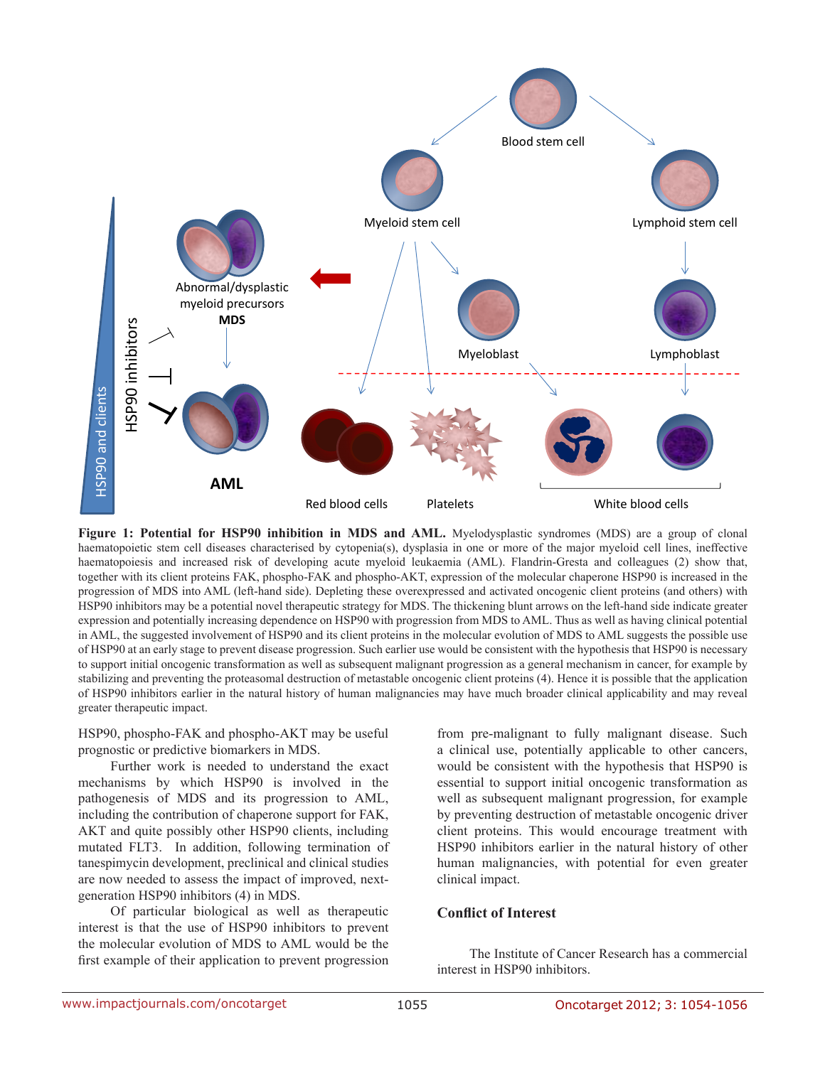

**Figure 1: Potential for HSP90 inhibition in MDS and AML.** Myelodysplastic syndromes (MDS) are a group of clonal haematopoietic stem cell diseases characterised by cytopenia(s), dysplasia in one or more of the major myeloid cell lines, ineffective haematopoiesis and increased risk of developing acute myeloid leukaemia (AML). Flandrin-Gresta and colleagues (2) show that, together with its client proteins FAK, phospho-FAK and phospho-AKT, expression of the molecular chaperone HSP90 is increased in the progression of MDS into AML (left-hand side). Depleting these overexpressed and activated oncogenic client proteins (and others) with HSP90 inhibitors may be a potential novel therapeutic strategy for MDS. The thickening blunt arrows on the left-hand side indicate greater expression and potentially increasing dependence on HSP90 with progression from MDS to AML. Thus as well as having clinical potential in AML, the suggested involvement of HSP90 and its client proteins in the molecular evolution of MDS to AML suggests the possible use of HSP90 at an early stage to prevent disease progression. Such earlier use would be consistent with the hypothesis that HSP90 is necessary to support initial oncogenic transformation as well as subsequent malignant progression as a general mechanism in cancer, for example by stabilizing and preventing the proteasomal destruction of metastable oncogenic client proteins (4). Hence it is possible that the application of HSP90 inhibitors earlier in the natural history of human malignancies may have much broader clinical applicability and may reveal greater therapeutic impact.

HSP90, phospho-FAK and phospho-AKT may be useful prognostic or predictive biomarkers in MDS.

Further work is needed to understand the exact mechanisms by which HSP90 is involved in the pathogenesis of MDS and its progression to AML, including the contribution of chaperone support for FAK, AKT and quite possibly other HSP90 clients, including mutated FLT3. In addition, following termination of tanespimycin development, preclinical and clinical studies are now needed to assess the impact of improved, nextgeneration HSP90 inhibitors (4) in MDS.

Of particular biological as well as therapeutic interest is that the use of HSP90 inhibitors to prevent the molecular evolution of MDS to AML would be the first example of their application to prevent progression from pre-malignant to fully malignant disease. Such a clinical use, potentially applicable to other cancers, would be consistent with the hypothesis that HSP90 is essential to support initial oncogenic transformation as well as subsequent malignant progression, for example by preventing destruction of metastable oncogenic driver client proteins. This would encourage treatment with HSP90 inhibitors earlier in the natural history of other human malignancies, with potential for even greater clinical impact.

## **Conflict of Interest**

The Institute of Cancer Research has a commercial interest in HSP90 inhibitors.